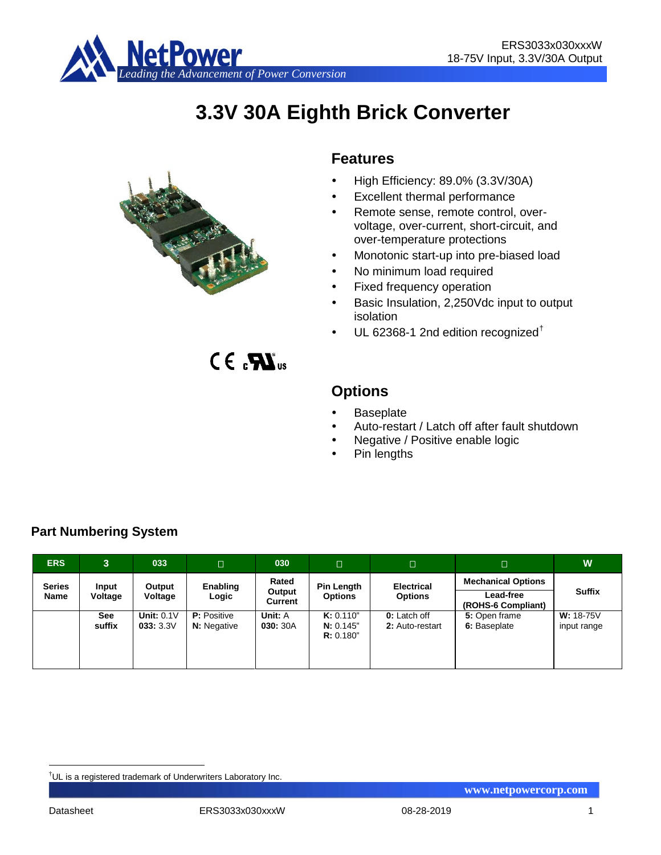

# **3.3V 30A Eighth Brick Converter**



 $C \in \mathbf{R}$ <sub>us</sub>

# **Features**

- High Efficiency: 89.0% (3.3V/30A)
- Excellent thermal performance
- Remote sense, remote control, overvoltage, over-current, short-circuit, and over-temperature protections
- Monotonic start-up into pre-biased load
- No minimum load required
- Fixed frequency operation
- Basic Insulation, 2,250Vdc input to output isolation
- UL 62368-1 2nd edition recognized[†](#page-0-0)

**Options**

- **Baseplate**
- Auto-restart / Latch off after fault shutdown
- Negative / Positive enable logic
- Pin lengths

**ERS 3 033 030 W Series Name Input Voltage Output Voltage Enabling Logic Rated Output Current Pin Length Options Electrical Options Mechanical Options Suffix Lead-free (ROHS-6 Compliant) See suffix Unit:** 0.1V **033:** 3.3V **P:** Positive **N:** Negative **Unit:** A **030:** 30A **K:** 0.110" **N:** 0.145" **R:** 0.180" **0:** Latch off **2:** Auto-restart **5:** Open frame **6:** Baseplate **W:** 18-75V input range

# **Part Numbering System**

<span id="page-0-0"></span><sup>–&</sup>lt;br>† UL is a registered trademark of Underwriters Laboratory Inc.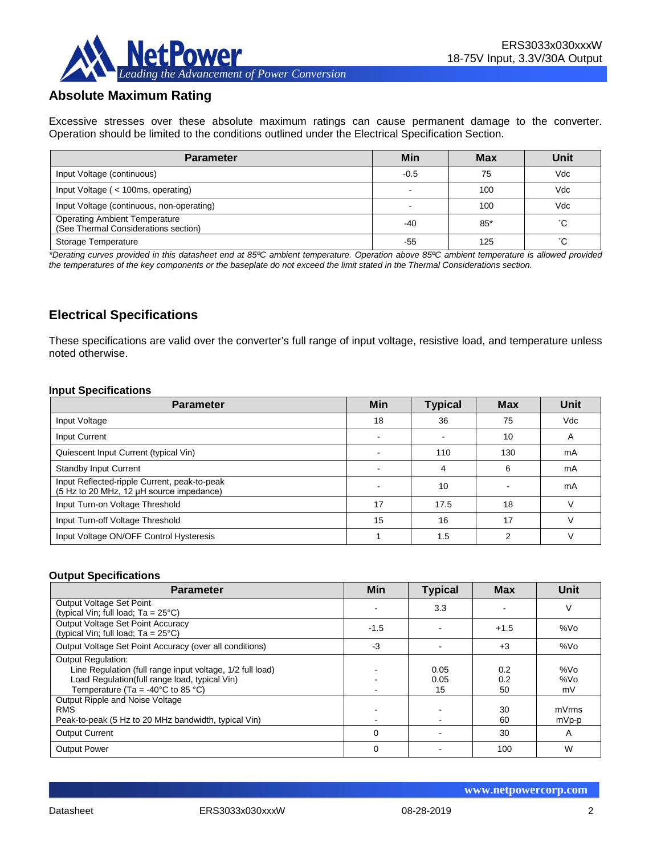

# **Absolute Maximum Rating**

Excessive stresses over these absolute maximum ratings can cause permanent damage to the converter. Operation should be limited to the conditions outlined under the Electrical Specification Section.

| <b>Parameter</b>                                                             | Min    | <b>Max</b> | Unit |
|------------------------------------------------------------------------------|--------|------------|------|
| Input Voltage (continuous)                                                   | $-0.5$ | 75         | Vdc  |
| Input Voltage (< 100ms, operating)                                           |        | 100        | Vdc  |
| Input Voltage (continuous, non-operating)                                    |        | 100        | Vdc  |
| <b>Operating Ambient Temperature</b><br>(See Thermal Considerations section) | $-40$  | $85*$      | °С   |
| Storage Temperature                                                          | -55    | 125        | °С   |

*\*Derating curves provided in this datasheet end at 85ºC ambient temperature. Operation above 85ºC ambient temperature is allowed provided the temperatures of the key components or the baseplate do not exceed the limit stated in the Thermal Considerations section.*

# **Electrical Specifications**

These specifications are valid over the converter's full range of input voltage, resistive load, and temperature unless noted otherwise.

#### **Input Specifications**

| <b>Parameter</b>                                                                         | <b>Min</b>               | <b>Typical</b> | <b>Max</b> | Unit |
|------------------------------------------------------------------------------------------|--------------------------|----------------|------------|------|
| Input Voltage                                                                            | 18                       | 36             | 75         | Vdc  |
| Input Current                                                                            | $\overline{\phantom{0}}$ |                | 10         | A    |
| Quiescent Input Current (typical Vin)                                                    |                          | 110            | 130        | mA   |
| <b>Standby Input Current</b>                                                             |                          | Δ              | 6          | mA   |
| Input Reflected-ripple Current, peak-to-peak<br>(5 Hz to 20 MHz, 12 µH source impedance) |                          | 10             |            | mA   |
| Input Turn-on Voltage Threshold                                                          | 17                       | 17.5           | 18         |      |
| Input Turn-off Voltage Threshold                                                         | 15                       | 16             | 17         |      |
| Input Voltage ON/OFF Control Hysteresis                                                  |                          | 1.5            | 2          |      |

#### **Output Specifications**

| <b>Parameter</b>                                                                   | Min    | <b>Typical</b> | <b>Max</b> | Unit            |
|------------------------------------------------------------------------------------|--------|----------------|------------|-----------------|
| Output Voltage Set Point                                                           |        | 3.3            |            | V               |
| (typical Vin; full load; $Ta = 25^{\circ}C$ )                                      |        |                |            |                 |
| Output Voltage Set Point Accuracy<br>(typical Vin; full load; $Ta = 25^{\circ}C$ ) | $-1.5$ |                | $+1.5$     | %V <sub>O</sub> |
| Output Voltage Set Point Accuracy (over all conditions)                            | $-3$   |                | $+3$       | %Vo             |
| <b>Output Regulation:</b>                                                          |        |                |            |                 |
| Line Regulation (full range input voltage, 1/2 full load)                          |        | 0.05           | 0.2        | %V <sub>O</sub> |
| Load Regulation(full range load, typical Vin)                                      |        | 0.05           | 0.2        | %Vo             |
| Temperature (Ta = -40 $^{\circ}$ C to 85 $^{\circ}$ C)                             |        | 15             | 50         | mV              |
| Output Ripple and Noise Voltage                                                    |        |                |            |                 |
| <b>RMS</b>                                                                         |        |                | 30         | mVrms           |
| Peak-to-peak (5 Hz to 20 MHz bandwidth, typical Vin)                               |        |                | 60         | mVp-p           |
| <b>Output Current</b>                                                              | 0      |                | 30         | A               |
| <b>Output Power</b>                                                                | 0      |                | 100        | W               |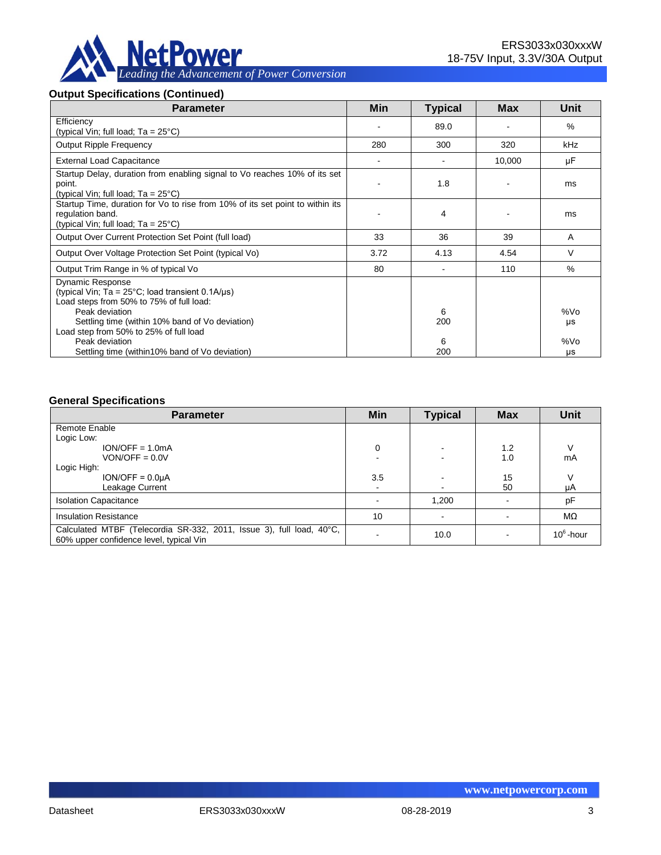

#### **Output Specifications (Continued)**

| <b>Parameter</b>                                                                                                                                                                                             | Min  | <b>Typical</b> | Max    | Unit      |
|--------------------------------------------------------------------------------------------------------------------------------------------------------------------------------------------------------------|------|----------------|--------|-----------|
| Efficiency<br>(typical Vin; full load; Ta = 25°C)                                                                                                                                                            |      | 89.0           |        | $\%$      |
| <b>Output Ripple Frequency</b>                                                                                                                                                                               | 280  | 300            | 320    | kHz       |
| <b>External Load Capacitance</b>                                                                                                                                                                             |      |                | 10,000 | μF        |
| Startup Delay, duration from enabling signal to Vo reaches 10% of its set<br>point.<br>(typical Vin; full load; $Ta = 25^{\circ}C$ )                                                                         |      | 1.8            |        | ms        |
| Startup Time, duration for Vo to rise from 10% of its set point to within its<br>regulation band.<br>(typical Vin; full load; $Ta = 25^{\circ}C$ )                                                           |      | 4              |        | ms        |
| Output Over Current Protection Set Point (full load)                                                                                                                                                         | 33   | 36             | 39     | A         |
| Output Over Voltage Protection Set Point (typical Vo)                                                                                                                                                        | 3.72 | 4.13           | 4.54   | V         |
| Output Trim Range in % of typical Vo                                                                                                                                                                         | 80   |                | 110    | $\%$      |
| <b>Dynamic Response</b><br>(typical Vin; Ta = $25^{\circ}$ C; load transient 0.1A/ $\mu$ s)<br>Load steps from 50% to 75% of full load:<br>Peak deviation<br>Settling time (within 10% band of Vo deviation) |      | 6<br>200       |        | %Vo<br>μs |
| Load step from 50% to 25% of full load<br>Peak deviation<br>Settling time (within 10% band of Vo deviation)                                                                                                  |      | 6<br>200       |        | %Vo<br>μs |

#### **General Specifications**

| <b>Parameter</b>                                                                                                | Min  | <b>Typical</b> | <b>Max</b> | <b>Unit</b>  |
|-----------------------------------------------------------------------------------------------------------------|------|----------------|------------|--------------|
| Remote Enable                                                                                                   |      |                |            |              |
| Logic Low:                                                                                                      |      |                |            |              |
| $ION/OFF = 1.0mA$                                                                                               | 0    |                | 1.2        |              |
| $VON/OFF = 0.0V$                                                                                                |      |                | 1.0        | mA           |
| Logic High:                                                                                                     |      |                |            |              |
| $ION/OFF = 0.0µA$                                                                                               | 3.5  |                | 15         |              |
| Leakage Current                                                                                                 | $\,$ |                | 50         | μA           |
| <b>Isolation Capacitance</b>                                                                                    |      | 1,200          |            | pF           |
| <b>Insulation Resistance</b>                                                                                    | 10   |                |            | MΩ           |
| Calculated MTBF (Telecordia SR-332, 2011, Issue 3), full load, 40°C,<br>60% upper confidence level, typical Vin |      | 10.0           |            | $10^6$ -hour |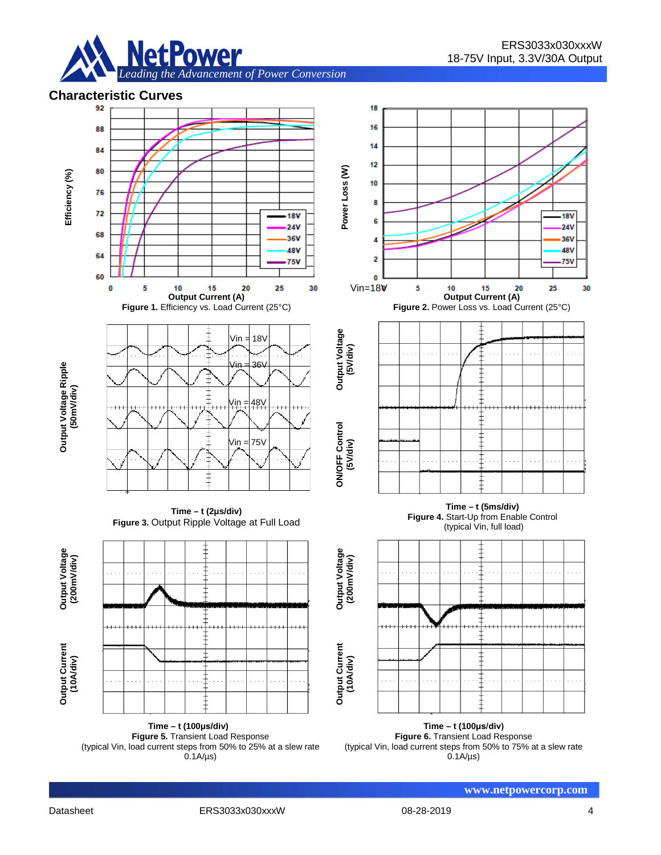



 $0.1A/\mu s$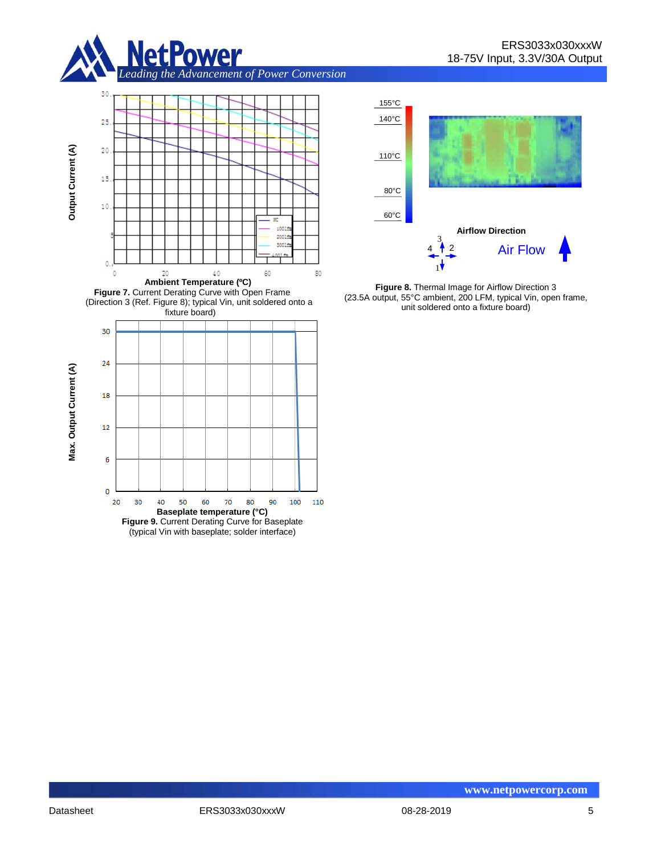







**Figure 8.** Thermal Image for Airflow Direction 3 (23.5A output, 55°C ambient, 200 LFM, typical Vin, open frame, unit soldered onto a fixture board)



**Output Current (A)**

Output Current (A)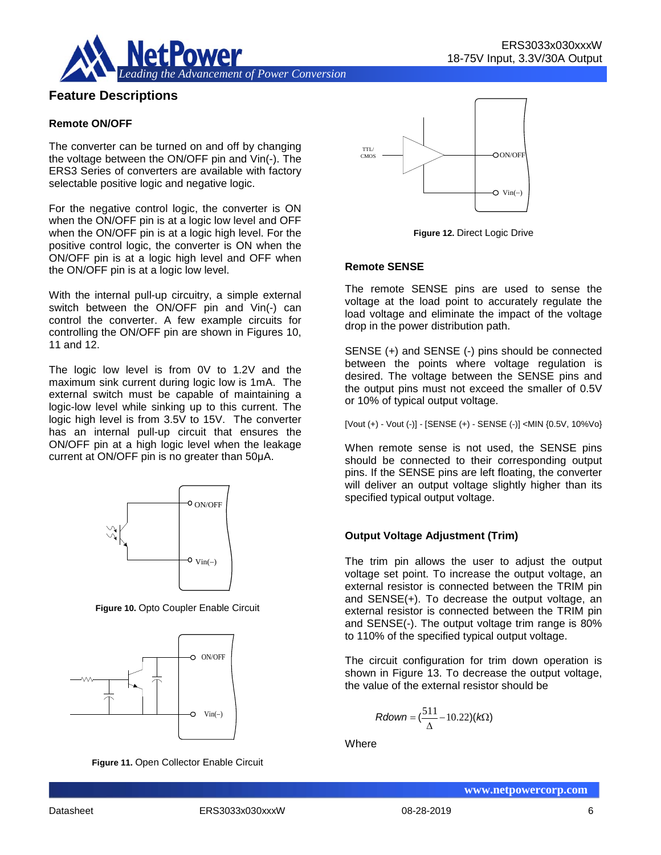

## **Feature Descriptions**

#### **Remote ON/OFF**

The converter can be turned on and off by changing the voltage between the ON/OFF pin and Vin(-). The ERS3 Series of converters are available with factory selectable positive logic and negative logic.

For the negative control logic, the converter is ON when the ON/OFF pin is at a logic low level and OFF when the ON/OFF pin is at a logic high level. For the positive control logic, the converter is ON when the ON/OFF pin is at a logic high level and OFF when the ON/OFF pin is at a logic low level.

With the internal pull-up circuitry, a simple external switch between the ON/OFF pin and Vin(-) can control the converter. A few example circuits for controlling the ON/OFF pin are shown in Figures 10, 11 and 12.

The logic low level is from 0V to 1.2V and the maximum sink current during logic low is 1mA. The external switch must be capable of maintaining a logic-low level while sinking up to this current. The logic high level is from 3.5V to 15V. The converter has an internal pull-up circuit that ensures the ON/OFF pin at a high logic level when the leakage current at ON/OFF pin is no greater than 50μA.



**Figure 10.** Opto Coupler Enable Circuit



**Figure 11.** Open Collector Enable Circuit



**Figure 12.** Direct Logic Drive

#### **Remote SENSE**

The remote SENSE pins are used to sense the voltage at the load point to accurately regulate the load voltage and eliminate the impact of the voltage drop in the power distribution path.

SENSE (+) and SENSE (-) pins should be connected between the points where voltage regulation is desired. The voltage between the SENSE pins and the output pins must not exceed the smaller of 0.5V or 10% of typical output voltage.

[Vout (+) - Vout (-)] - [SENSE (+) - SENSE (-)] <MIN {0.5V, 10%Vo}

When remote sense is not used, the SENSE pins should be connected to their corresponding output pins. If the SENSE pins are left floating, the converter will deliver an output voltage slightly higher than its specified typical output voltage.

#### **Output Voltage Adjustment (Trim)**

The trim pin allows the user to adjust the output voltage set point. To increase the output voltage, an external resistor is connected between the TRIM pin and SENSE(+). To decrease the output voltage, an external resistor is connected between the TRIM pin and SENSE(-). The output voltage trim range is 80% to 110% of the specified typical output voltage.

The circuit configuration for trim down operation is shown in Figure 13. To decrease the output voltage, the value of the external resistor should be

$$
Rdown = (\frac{511}{\Delta} - 10.22)(k\Omega)
$$

**Where**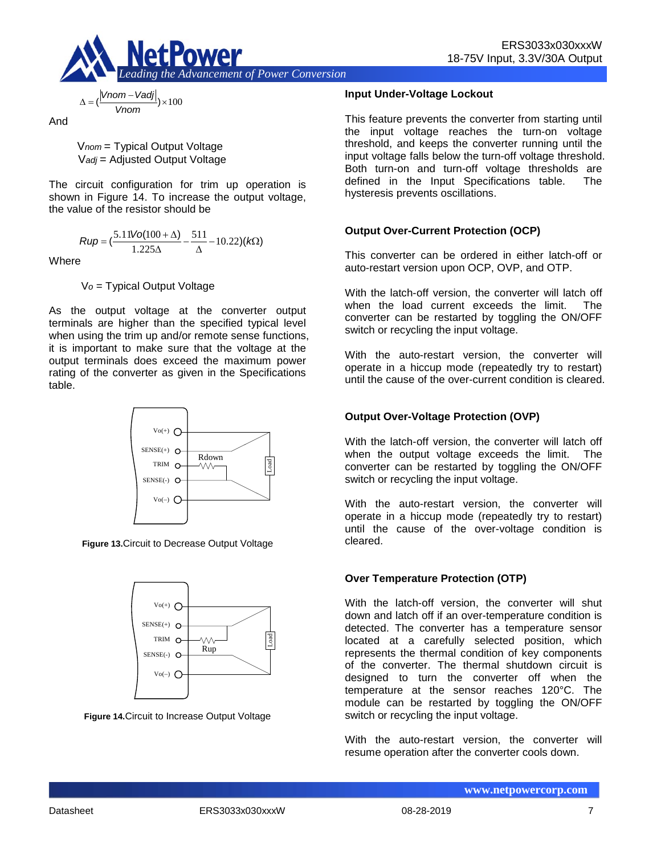

$$
\Delta = \left(\frac{|Vnom - Vadj|}{Vnom}\right) \times 100
$$

And

V*nom* = Typical Output Voltage V*adj* = Adjusted Output Voltage

The circuit configuration for trim up operation is shown in Figure 14. To increase the output voltage, the value of the resistor should be

$$
Rup = \left(\frac{5.11\text{Vol}(100 + \Delta)}{1.225\Delta} - \frac{511}{\Delta} - 10.22\right)(k\Omega)
$$

**Where** 

V*o* = Typical Output Voltage

As the output voltage at the converter output terminals are higher than the specified typical level when using the trim up and/or remote sense functions, it is important to make sure that the voltage at the output terminals does exceed the maximum power rating of the converter as given in the Specifications table.



**Figure 13.**Circuit to Decrease Output Voltage



**Figure 14.**Circuit to Increase Output Voltage

#### **Input Under-Voltage Lockout**

This feature prevents the converter from starting until the input voltage reaches the turn-on voltage threshold, and keeps the converter running until the input voltage falls below the turn-off voltage threshold. Both turn-on and turn-off voltage thresholds are defined in the Input Specifications table. The hysteresis prevents oscillations.

### **Output Over-Current Protection (OCP)**

This converter can be ordered in either latch-off or auto-restart version upon OCP, OVP, and OTP.

With the latch-off version, the converter will latch off when the load current exceeds the limit. The converter can be restarted by toggling the ON/OFF switch or recycling the input voltage.

With the auto-restart version, the converter will operate in a hiccup mode (repeatedly try to restart) until the cause of the over-current condition is cleared.

### **Output Over-Voltage Protection (OVP)**

With the latch-off version, the converter will latch off when the output voltage exceeds the limit. The converter can be restarted by toggling the ON/OFF switch or recycling the input voltage.

With the auto-restart version, the converter will operate in a hiccup mode (repeatedly try to restart) until the cause of the over-voltage condition is cleared.

### **Over Temperature Protection (OTP)**

With the latch-off version, the converter will shut down and latch off if an over-temperature condition is detected. The converter has a temperature sensor located at a carefully selected position, which represents the thermal condition of key components of the converter. The thermal shutdown circuit is designed to turn the converter off when the temperature at the sensor reaches 120°C. The module can be restarted by toggling the ON/OFF switch or recycling the input voltage.

With the auto-restart version, the converter will resume operation after the converter cools down.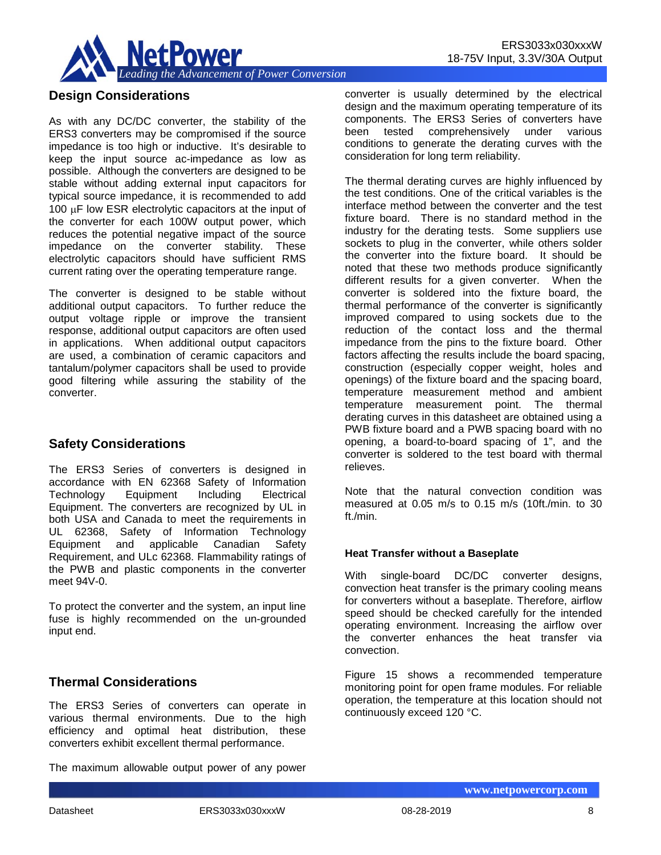

# **Design Considerations**

As with any DC/DC converter, the stability of the ERS3 converters may be compromised if the source impedance is too high or inductive. It's desirable to keep the input source ac-impedance as low as possible. Although the converters are designed to be stable without adding external input capacitors for typical source impedance, it is recommended to add 100 µF low ESR electrolytic capacitors at the input of the converter for each 100W output power, which reduces the potential negative impact of the source impedance on the converter stability. These electrolytic capacitors should have sufficient RMS current rating over the operating temperature range.

The converter is designed to be stable without additional output capacitors. To further reduce the output voltage ripple or improve the transient response, additional output capacitors are often used in applications. When additional output capacitors are used, a combination of ceramic capacitors and tantalum/polymer capacitors shall be used to provide good filtering while assuring the stability of the converter.

# **Safety Considerations**

The ERS3 Series of converters is designed in accordance with EN 62368 Safety of Information Technology Equipment Including Electrical Equipment. The converters are recognized by UL in both USA and Canada to meet the requirements in UL 62368, Safety of Information Technology Equipment and applicable Canadian Safety Requirement, and ULc 62368. Flammability ratings of the PWB and plastic components in the converter meet 94V-0.

To protect the converter and the system, an input line fuse is highly recommended on the un-grounded input end.

# **Thermal Considerations**

The ERS3 Series of converters can operate in various thermal environments. Due to the high efficiency and optimal heat distribution, these converters exhibit excellent thermal performance.

The maximum allowable output power of any power

converter is usually determined by the electrical design and the maximum operating temperature of its components. The ERS3 Series of converters have been tested comprehensively under various conditions to generate the derating curves with the consideration for long term reliability.

The thermal derating curves are highly influenced by the test conditions. One of the critical variables is the interface method between the converter and the test fixture board. There is no standard method in the industry for the derating tests. Some suppliers use sockets to plug in the converter, while others solder the converter into the fixture board. It should be noted that these two methods produce significantly different results for a given converter. When the converter is soldered into the fixture board, the thermal performance of the converter is significantly improved compared to using sockets due to the reduction of the contact loss and the thermal impedance from the pins to the fixture board. Other factors affecting the results include the board spacing, construction (especially copper weight, holes and openings) of the fixture board and the spacing board, temperature measurement method and ambient temperature measurement point. The thermal derating curves in this datasheet are obtained using a PWB fixture board and a PWB spacing board with no opening, a board-to-board spacing of 1", and the converter is soldered to the test board with thermal relieves.

Note that the natural convection condition was measured at 0.05 m/s to 0.15 m/s (10ft./min. to 30 ft./min.

#### **Heat Transfer without a Baseplate**

With single-board DC/DC converter designs, convection heat transfer is the primary cooling means for converters without a baseplate. Therefore, airflow speed should be checked carefully for the intended operating environment. Increasing the airflow over the converter enhances the heat transfer via convection.

Figure 15 shows a recommended temperature monitoring point for open frame modules. For reliable operation, the temperature at this location should not continuously exceed 120 °C.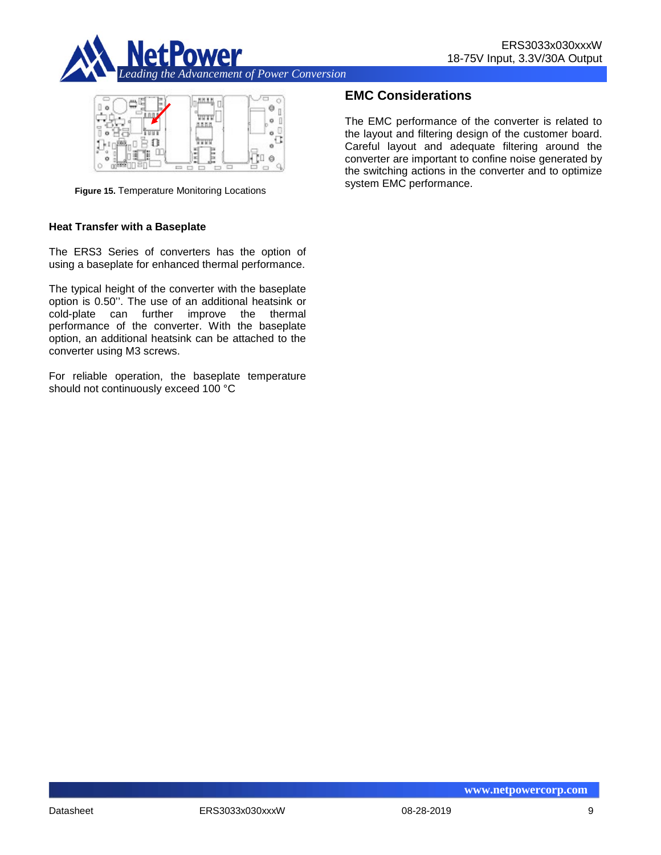



**Figure 15.** Temperature Monitoring Locations

#### **Heat Transfer with a Baseplate**

The ERS3 Series of converters has the option of using a baseplate for enhanced thermal performance.

The typical height of the converter with the baseplate option is 0.50''. The use of an additional heatsink or cold-plate can further improve the thermal performance of the converter. With the baseplate option, an additional heatsink can be attached to the converter using M3 screws.

For reliable operation, the baseplate temperature should not continuously exceed 100 °C

# **EMC Considerations**

The EMC performance of the converter is related to the layout and filtering design of the customer board. Careful layout and adequate filtering around the converter are important to confine noise generated by the switching actions in the converter and to optimize system EMC performance.